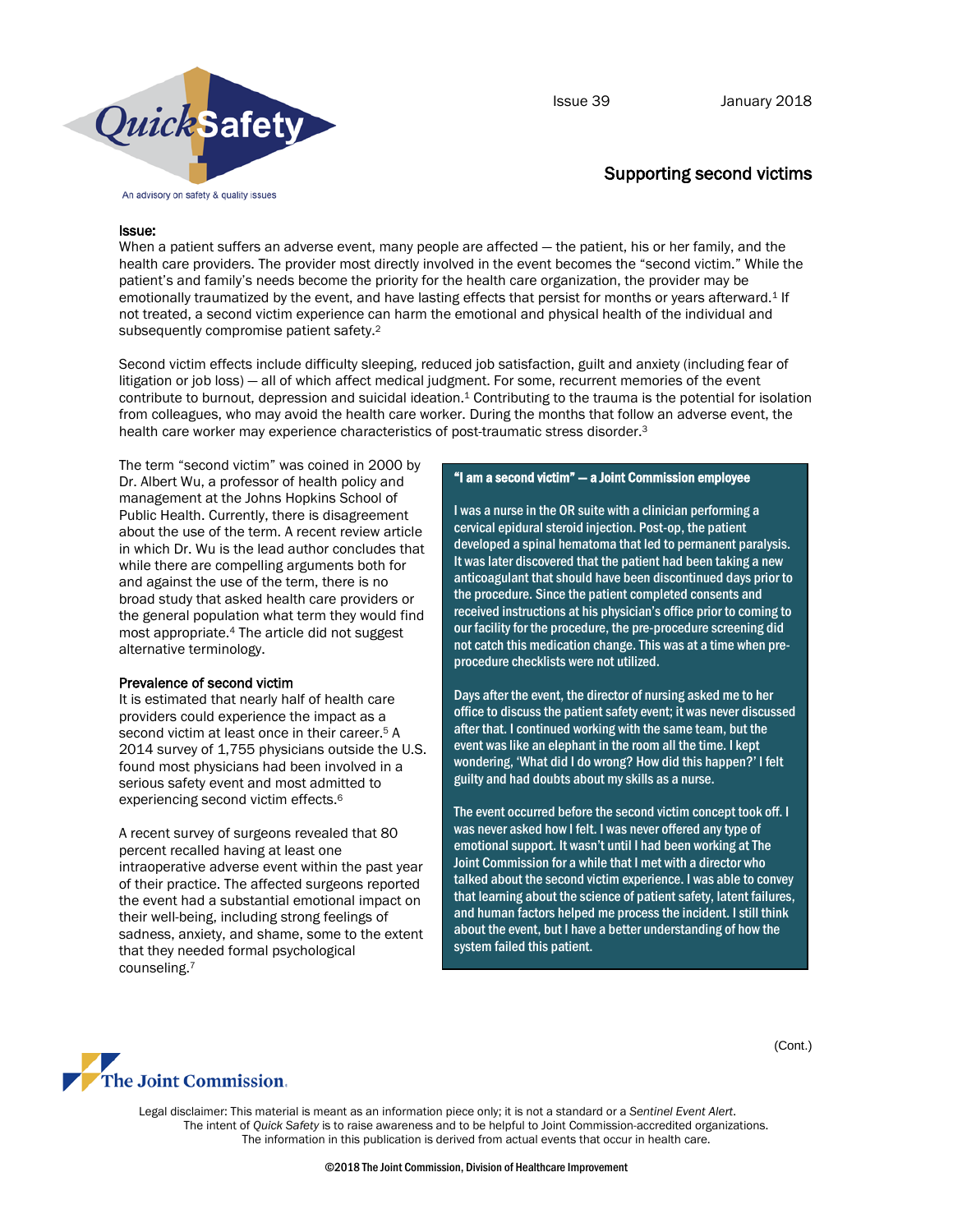

Issue 39 January 2018

# Supporting second victims

### Issue:

When a patient suffers an adverse event, many people are affected — the patient, his or her family, and the health care providers. The provider most directly involved in the event becomes the "second victim." While the patient's and family's needs become the priority for the health care organization, the provider may be emotionally traumatized by the event, and have lasting effects that persist for months or years afterward. <sup>1</sup> If not treated, a second victim experience can harm the emotional and physical health of the individual and subsequently compromise patient safety.2

Second victim effects include difficulty sleeping, reduced job satisfaction, guilt and anxiety (including fear of litigation or job loss) — all of which affect medical judgment. For some, recurrent memories of the event contribute to burnout, depression and suicidal ideation.<sup>1</sup> Contributing to the trauma is the potential for isolation from colleagues, who may avoid the health care worker. During the months that follow an adverse event, the health care worker may experience characteristics of post-traumatic stress disorder. 3

The term "second victim" was coined in 2000 by Dr. Albert Wu, a professor of health policy and management at the Johns Hopkins School of Public Health. Currently, there is disagreement about the use of the term. A recent review article in which Dr. Wu is the lead author concludes that while there are compelling arguments both for and against the use of the term, there is no broad study that asked health care providers or the general population what term they would find most appropriate.4 The article did not suggest alternative terminology.

### Prevalence of second victim

It is estimated that nearly half of health care providers could experience the impact as a second victim at least once in their career.<sup>5</sup> A 2014 survey of 1,755 physicians outside the U.S. found most physicians had been involved in a serious safety event and most admitted to experiencing second victim effects.6

A recent survey of surgeons revealed that 80 percent recalled having at least one intraoperative adverse event within the past year of their practice. The affected surgeons reported the event had a substantial emotional impact on their well-being, including strong feelings of sadness, anxiety, and shame, some to the extent that they needed formal psychological counseling.7

#### "I am a second victim" — a Joint Commission employee

I was a nurse in the OR suite with a clinician performing a cervical epidural steroid injection. Post-op, the patient developed a spinal hematoma that led to permanent paralysis. It was later discovered that the patient had been taking a new anticoagulant that should have been discontinued days prior to the procedure. Since the patient completed consents and received instructions at his physician's office prior to coming to our facility for the procedure, the pre-procedure screening did not catch this medication change. This was at a time when preprocedure checklists were not utilized.

Days after the event, the director of nursing asked me to her office to discuss the patient safety event; it was never discussed after that. I continued working with the same team, but the event was like an elephant in the room all the time. I kept wondering, 'What did I do wrong? How did this happen?' I felt guilty and had doubts about my skills as a nurse.

The event occurred before the second victim concept took off. I was never asked how I felt. I was never offered any type of emotional support. It wasn't until I had been working at The Joint Commission for a while that I met with a director who talked about the second victim experience. I was able to convey that learning about the science of patient safety, latent failures, and human factors helped me process the incident. I still think about the event, but I have a better understanding of how the system failed this patient.



Legal disclaimer: This material is meant as an information piece only; it is not a standard or a *Sentinel Event Alert*. The intent of *Quick Safety* is to raise awareness and to be helpful to Joint Commission-accredited organizations. The information in this publication is derived from actual events that occur in health care.

(Cont.)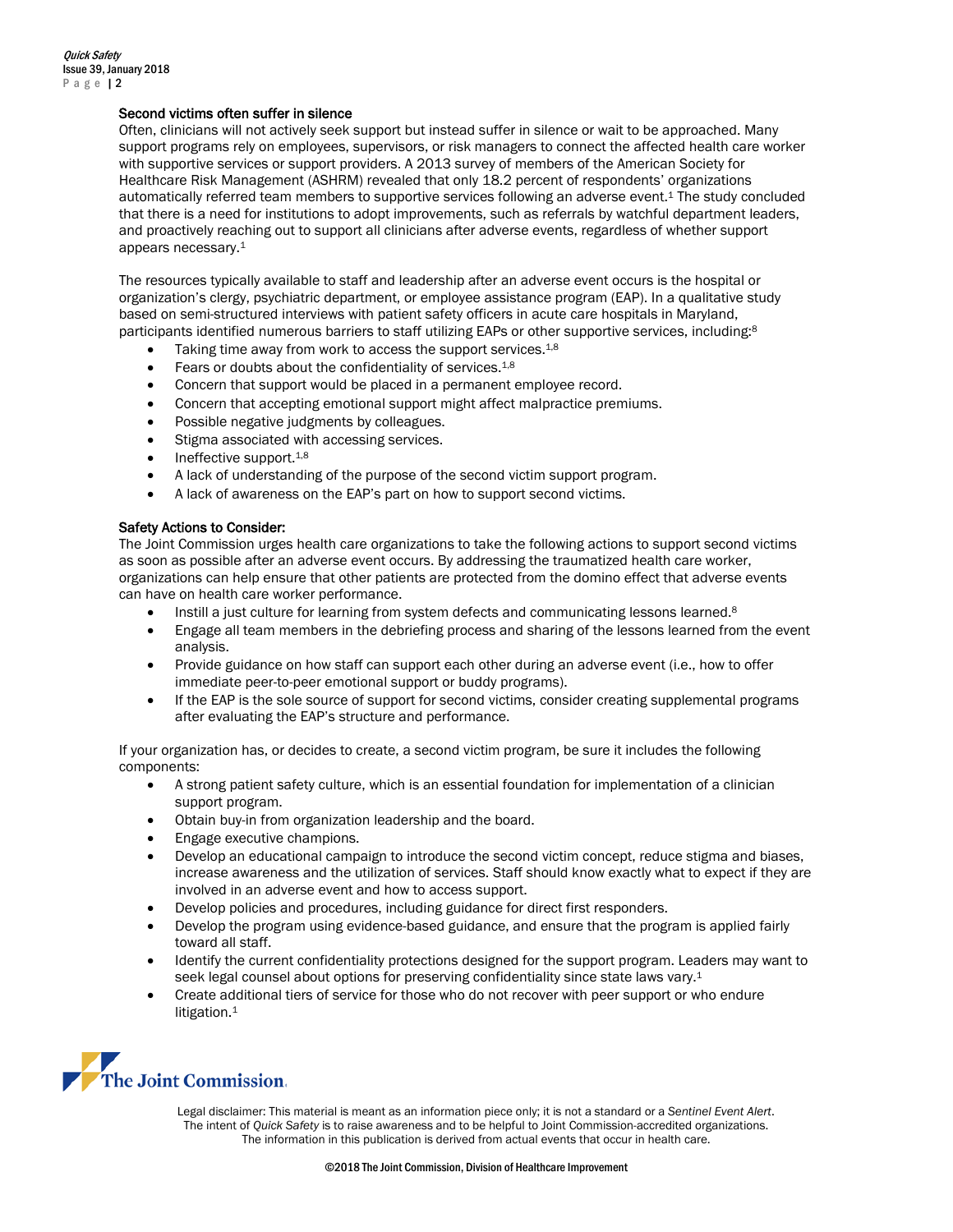# Second victims often suffer in silence

Often, clinicians will not actively seek support but instead suffer in silence or wait to be approached. Many support programs rely on employees, supervisors, or risk managers to connect the affected health care worker with supportive services or support providers. A 2013 survey of members of the American Society for Healthcare Risk Management (ASHRM) revealed that only 18.2 percent of respondents' organizations automatically referred team members to supportive services following an adverse event.1 The study concluded that there is a need for institutions to adopt improvements, such as referrals by watchful department leaders, and proactively reaching out to support all clinicians after adverse events, regardless of whether support appears necessary.1

The resources typically available to staff and leadership after an adverse event occurs is the hospital or organization's clergy, psychiatric department, or employee assistance program (EAP). In a qualitative study based on semi-structured interviews with patient safety officers in acute care hospitals in Maryland, participants identified numerous barriers to staff utilizing EAPs or other supportive services, including:<sup>8</sup>

- Taking time away from work to access the support services.<sup>1,8</sup>
- Fears or doubts about the confidentiality of services.<sup>1,8</sup>
- Concern that support would be placed in a permanent employee record.
- Concern that accepting emotional support might affect malpractice premiums.
- Possible negative judgments by colleagues.
- Stigma associated with accessing services.
- Ineffective support.<sup>1,8</sup>
- A lack of understanding of the purpose of the second victim support program.
- A lack of awareness on the EAP's part on how to support second victims.

# Safety Actions to Consider:

The Joint Commission urges health care organizations to take the following actions to support second victims as soon as possible after an adverse event occurs. By addressing the traumatized health care worker, organizations can help ensure that other patients are protected from the domino effect that adverse events can have on health care worker performance.

- Instill a just culture for learning from system defects and communicating lessons learned.<sup>8</sup>
- Engage all team members in the debriefing process and sharing of the lessons learned from the event analysis.
- Provide guidance on how staff can support each other during an adverse event (i.e., how to offer immediate peer-to-peer emotional support or buddy programs).
- If the EAP is the sole source of support for second victims, consider creating supplemental programs after evaluating the EAP's structure and performance.

If your organization has, or decides to create, a second victim program, be sure it includes the following components:

- A strong patient safety culture, which is an essential foundation for implementation of a clinician support program.
- Obtain buy-in from organization leadership and the board.
- Engage executive champions.
- Develop an educational campaign to introduce the second victim concept, reduce stigma and biases, increase awareness and the utilization of services. Staff should know exactly what to expect if they are involved in an adverse event and how to access support.
- Develop policies and procedures, including guidance for direct first responders.
- Develop the program using evidence-based guidance, and ensure that the program is applied fairly toward all staff.
- Identify the current confidentiality protections designed for the support program. Leaders may want to seek legal counsel about options for preserving confidentiality since state laws vary.<sup>1</sup>
- Create additional tiers of service for those who do not recover with peer support or who endure litigation.<sup>1</sup>



Legal disclaimer: This material is meant as an information piece only; it is not a standard or a *Sentinel Event Alert*. The intent of *Quick Safety* is to raise awareness and to be helpful to Joint Commission-accredited organizations. The information in this publication is derived from actual events that occur in health care.